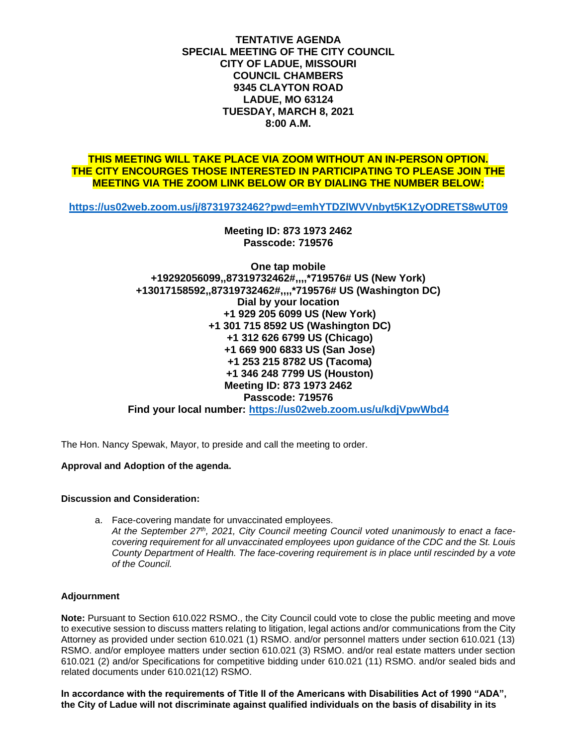**TENTATIVE AGENDA SPECIAL MEETING OF THE CITY COUNCIL CITY OF LADUE, MISSOURI COUNCIL CHAMBERS 9345 CLAYTON ROAD LADUE, MO 63124 TUESDAY, MARCH 8, 2021 8:00 A.M.**

## **THIS MEETING WILL TAKE PLACE VIA ZOOM WITHOUT AN IN-PERSON OPTION. THE CITY ENCOURGES THOSE INTERESTED IN PARTICIPATING TO PLEASE JOIN THE MEETING VIA THE ZOOM LINK BELOW OR BY DIALING THE NUMBER BELOW:**

**<https://us02web.zoom.us/j/87319732462?pwd=emhYTDZlWVVnbyt5K1ZyODRETS8wUT09>**

**Meeting ID: 873 1973 2462 Passcode: 719576** 

**One tap mobile +19292056099,,87319732462#,,,,\*719576# US (New York) +13017158592,,87319732462#,,,,\*719576# US (Washington DC) Dial by your location +1 929 205 6099 US (New York) +1 301 715 8592 US (Washington DC) +1 312 626 6799 US (Chicago) +1 669 900 6833 US (San Jose) +1 253 215 8782 US (Tacoma) +1 346 248 7799 US (Houston) Meeting ID: 873 1973 2462 Passcode: 719576** 

**Find your local number:<https://us02web.zoom.us/u/kdjVpwWbd4>**

The Hon. Nancy Spewak, Mayor, to preside and call the meeting to order.

## **Approval and Adoption of the agenda.**

## **Discussion and Consideration:**

a. Face-covering mandate for unvaccinated employees.

*At the September 27th , 2021, City Council meeting Council voted unanimously to enact a facecovering requirement for all unvaccinated employees upon guidance of the CDC and the St. Louis County Department of Health. The face-covering requirement is in place until rescinded by a vote of the Council.*

## **Adjournment**

**Note:** Pursuant to Section 610.022 RSMO., the City Council could vote to close the public meeting and move to executive session to discuss matters relating to litigation, legal actions and/or communications from the City Attorney as provided under section 610.021 (1) RSMO. and/or personnel matters under section 610.021 (13) RSMO. and/or employee matters under section 610.021 (3) RSMO. and/or real estate matters under section 610.021 (2) and/or Specifications for competitive bidding under 610.021 (11) RSMO. and/or sealed bids and related documents under 610.021(12) RSMO.

**In accordance with the requirements of Title II of the Americans with Disabilities Act of 1990 "ADA", the City of Ladue will not discriminate against qualified individuals on the basis of disability in its**